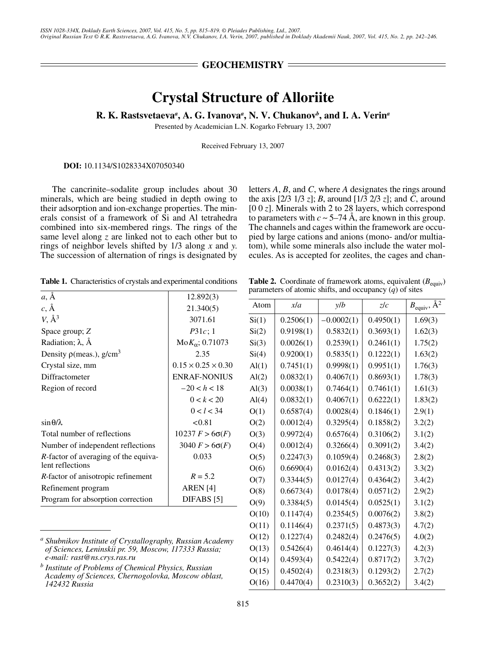## **GEOCHEMISTRY**

# **Crystal Structure of Alloriite**

### **R. K. Rastsvetaeva***<sup>a</sup>* **, A. G. Ivanova***<sup>a</sup>* **, N. V. Chukanov***<sup>b</sup>* **, and I. A. Verin***<sup>a</sup>*

Presented by Academician L.N. Kogarko February 13, 2007

Received February 13, 2007

**DOI:** 10.1134/S1028334X07050340

The cancrinite–sodalite group includes about 30 minerals, which are being studied in depth owing to their adsorption and ion-exchange properties. The minerals consist of a framework of Si and Al tetrahedra combined into six-membered rings. The rings of the same level along *z* are linked not to each other but to rings of neighbor levels shifted by 1/3 along *x* and *y*. The succession of alternation of rings is designated by letters *A*, *B*, and *C*, where *A* designates the rings around the axis [2/3 1/3 *z*]; *B*, around [1/3 2/3 *z*]; and *C*, around [0 0 *z*]. Minerals with 2 to 28 layers, which correspond to parameters with  $c \sim 5-74$  Å, are known in this group. The channels and cages within the framework are occupied by large cations and anions (mono- and/or multiatom), while some minerals also include the water molecules. As is accepted for zeolites, the cages and chan-

**Table 1.** Characteristics of crystals and experimental conditions

**Table 2.** Coordinate of framework atoms, equivalent  $(B_{\text{cavity}})$ parameters of atomic shifts, and occupancy (*q*) of sites

Atom  $\begin{vmatrix} x/a & | & y/b & | & z/c & | & B_{\text{equiv}} \sqrt{A^2} \end{vmatrix}$ 

| $a, \AA$                                                         | 12.892(3)                      |
|------------------------------------------------------------------|--------------------------------|
| $c, \AA$                                                         | 21.340(5)                      |
| $V, \AA^3$                                                       | 3071.61                        |
| Space group; Z                                                   | P31c;1                         |
| Radiation; $\lambda$ , $\AA$                                     | $M \circ K_{\alpha}$ ; 0.71073 |
| Density $\rho$ (meas.), $g/cm^3$                                 | 2.35                           |
| Crystal size, mm                                                 | $0.15 \times 0.25 \times 0.30$ |
| Diffractometer                                                   | <b>ENRAF-NONIUS</b>            |
| Region of record                                                 | $-20 < h < 18$                 |
|                                                                  | 0 < k < 20                     |
|                                                                  | 0 < l < 34                     |
| $\sin \theta / \lambda$                                          | < 0.81                         |
| Total number of reflections                                      | $10237 F > 6\sigma(F)$         |
| Number of independent reflections                                | $3040 F > 6\sigma(F)$          |
| <i>R</i> -factor of averaging of the equiva-<br>lent reflections | 0.033                          |
| <i>R</i> -factor of anisotropic refinement                       | $R = 5.2$                      |
| Refinement program                                               | AREN <sup>[4]</sup>            |
| Program for absorption correction                                | DIFABS <sup>[5]</sup>          |
|                                                                  |                                |

*a Shubnikov Institute of Crystallography, Russian Academy of Sciences, Leninskii pr. 59, Moscow, 117333 Russia; e-mail: rast@ns.crys.ras.ru*

*b Institute of Problems of Chemical Physics, Russian Academy of Sciences, Chernogolovka, Moscow oblast, 142432 Russia*

| Si(1) | 0.2506(1) | $-0.0002(1)$ | 0.4950(1) | 1.69(3) |
|-------|-----------|--------------|-----------|---------|
| Si(2) | 0.9198(1) | 0.5832(1)    | 0.3693(1) | 1.62(3) |
| Si(3) | 0.0026(1) | 0.2539(1)    | 0.2461(1) | 1.75(2) |
| Si(4) | 0.9200(1) | 0.5835(1)    | 0.1222(1) | 1.63(2) |
| Al(1) | 0.7451(1) | 0.9998(1)    | 0.9951(1) | 1.76(3) |
| Al(2) | 0.0832(1) | 0.4067(1)    | 0.8693(1) | 1.78(3) |
| Al(3) | 0.0038(1) | 0.7464(1)    | 0.7461(1) | 1.61(3) |
| Al(4) | 0.0832(1) | 0.4067(1)    | 0.6222(1) | 1.83(2) |
| O(1)  | 0.6587(4) | 0.0028(4)    | 0.1846(1) | 2.9(1)  |
| O(2)  | 0.0012(4) | 0.3295(4)    | 0.1858(2) | 3.2(2)  |
| O(3)  | 0.9972(4) | 0.6576(4)    | 0.3106(2) | 3.1(2)  |
| O(4)  | 0.0012(4) | 0.3266(4)    | 0.3091(2) | 3.4(2)  |
| O(5)  | 0.2247(3) | 0.1059(4)    | 0.2468(3) | 2.8(2)  |
| O(6)  | 0.6690(4) | 0.0162(4)    | 0.4313(2) | 3.3(2)  |
| O(7)  | 0.3344(5) | 0.0127(4)    | 0.4364(2) | 3.4(2)  |
| O(8)  | 0.6673(4) | 0.0178(4)    | 0.0571(2) | 2.9(2)  |
| O(9)  | 0.3384(5) | 0.0145(4)    | 0.0525(1) | 3.1(2)  |
| O(10) | 0.1147(4) | 0.2354(5)    | 0.0076(2) | 3.8(2)  |
| O(11) | 0.1146(4) | 0.2371(5)    | 0.4873(3) | 4.7(2)  |
| O(12) | 0.1227(4) | 0.2482(4)    | 0.2476(5) | 4.0(2)  |
| O(13) | 0.5426(4) | 0.4614(4)    | 0.1227(3) | 4.2(3)  |
| O(14) | 0.4593(4) | 0.5422(4)    | 0.8717(2) | 3.7(2)  |
| O(15) | 0.4502(4) | 0.2318(3)    | 0.1293(2) | 2.7(2)  |
| O(16) | 0.4470(4) | 0.2310(3)    | 0.3652(2) | 3.4(2)  |
|       |           |              |           |         |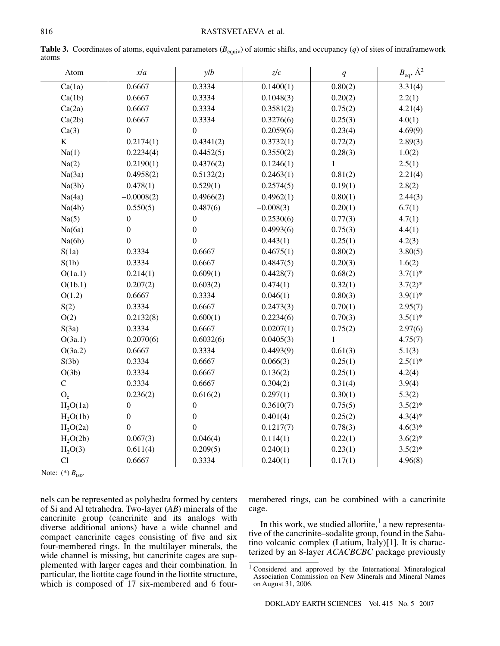| Atom                 | xla              | y/b              | z/c         | q            | $B_{\text{eq}}, \overline{A^2}$ |
|----------------------|------------------|------------------|-------------|--------------|---------------------------------|
| Ca(1a)               | 0.6667           | 0.3334           | 0.1400(1)   | 0.80(2)      | 3.31(4)                         |
| Ca(1b)               | 0.6667           | 0.3334           | 0.1048(3)   | 0.20(2)      | 2.2(1)                          |
| Ca(2a)               | 0.6667           | 0.3334           | 0.3581(2)   | 0.75(2)      | 4.21(4)                         |
| Ca(2b)               | 0.6667           | 0.3334           | 0.3276(6)   | 0.25(3)      | 4.0(1)                          |
| Ca(3)                | $\boldsymbol{0}$ | $\boldsymbol{0}$ | 0.2059(6)   | 0.23(4)      | 4.69(9)                         |
| $\bf K$              | 0.2174(1)        | 0.4341(2)        | 0.3732(1)   | 0.72(2)      | 2.89(3)                         |
| Na(1)                | 0.2234(4)        | 0.4452(5)        | 0.3550(2)   | 0.28(3)      | 1.0(2)                          |
| Na(2)                | 0.2190(1)        | 0.4376(2)        | 0.1246(1)   | $\mathbf{1}$ | 2.5(1)                          |
| Na(3a)               | 0.4958(2)        | 0.5132(2)        | 0.2463(1)   | 0.81(2)      | 2.21(4)                         |
| Na(3b)               | 0.478(1)         | 0.529(1)         | 0.2574(5)   | 0.19(1)      | 2.8(2)                          |
| Na(4a)               | $-0.0008(2)$     | 0.4966(2)        | 0.4962(1)   | 0.80(1)      | 2.44(3)                         |
| Na(4b)               | 0.550(5)         | 0.487(6)         | $-0.008(3)$ | 0.20(1)      | 6.7(1)                          |
| Na(5)                | $\boldsymbol{0}$ | $\boldsymbol{0}$ | 0.2530(6)   | 0.77(3)      | 4.7(1)                          |
| Na(6a)               | $\boldsymbol{0}$ | $\boldsymbol{0}$ | 0.4993(6)   | 0.75(3)      | 4.4(1)                          |
| Na(6b)               | $\boldsymbol{0}$ | $\overline{0}$   | 0.443(1)    | 0.25(1)      | 4.2(3)                          |
| S(1a)                | 0.3334           | 0.6667           | 0.4675(1)   | 0.80(2)      | 3.80(5)                         |
| S(1b)                | 0.3334           | 0.6667           | 0.4847(5)   | 0.20(3)      | 1.6(2)                          |
| O(1a.1)              | 0.214(1)         | 0.609(1)         | 0.4428(7)   | 0.68(2)      | $3.7(1)$ *                      |
| O(1b.1)              | 0.207(2)         | 0.603(2)         | 0.474(1)    | 0.32(1)      | $3.7(2)*$                       |
| O(1.2)               | 0.6667           | 0.3334           | 0.046(1)    | 0.80(3)      | $3.9(1)$ *                      |
| S(2)                 | 0.3334           | 0.6667           | 0.2473(3)   | 0.70(1)      | 2.95(7)                         |
| O(2)                 | 0.2132(8)        | 0.600(1)         | 0.2234(6)   | 0.70(3)      | $3.5(1)$ *                      |
| S(3a)                | 0.3334           | 0.6667           | 0.0207(1)   | 0.75(2)      | 2.97(6)                         |
| O(3a.1)              | 0.2070(6)        | 0.6032(6)        | 0.0405(3)   | $\mathbf{1}$ | 4.75(7)                         |
| O(3a.2)              | 0.6667           | 0.3334           | 0.4493(9)   | 0.61(3)      | 5.1(3)                          |
| S(3b)                | 0.3334           | 0.6667           | 0.066(3)    | 0.25(1)      | $2.5(1)$ *                      |
| O(3b)                | 0.3334           | 0.6667           | 0.136(2)    | 0.25(1)      | 4.2(4)                          |
| ${\bf C}$            | 0.3334           | 0.6667           | 0.304(2)    | 0.31(4)      | 3.9(4)                          |
| $O_c$                | 0.236(2)         | 0.616(2)         | 0.297(1)    | 0.30(1)      | 5.3(2)                          |
| H <sub>2</sub> O(1a) | $\boldsymbol{0}$ | $\boldsymbol{0}$ | 0.3610(7)   | 0.75(5)      | $3.5(2)*$                       |
| H <sub>2</sub> O(1b) | $\boldsymbol{0}$ | $\boldsymbol{0}$ | 0.401(4)    | 0.25(2)      | $4.3(4)*$                       |
| H <sub>2</sub> O(2a) | $\boldsymbol{0}$ | $\boldsymbol{0}$ | 0.1217(7)   | 0.78(3)      | $4.6(3)*$                       |
| H <sub>2</sub> O(2b) | 0.067(3)         | 0.046(4)         | 0.114(1)    | 0.22(1)      | $3.6(2)*$                       |
| H <sub>2</sub> O(3)  | 0.611(4)         | 0.209(5)         | 0.240(1)    | 0.23(1)      | $3.5(2)*$                       |
| Cl                   | 0.6667           | 0.3334           | 0.240(1)    | 0.17(1)      | 4.96(8)                         |

**Table 3.** Coordinates of atoms, equivalent parameters  $(B_{\text{equiv}})$  of atomic shifts, and occupancy  $(q)$  of sites of intraframework atoms

Note:  $(*)$   $B_{\text{iso}}$ .

nels can be represented as polyhedra formed by centers of Si and Al tetrahedra. Two-layer (*AB*) minerals of the cancrinite group (cancrinite and its analogs with diverse additional anions) have a wide channel and compact cancrinite cages consisting of five and six four-membered rings. In the multilayer minerals, the wide channel is missing, but cancrinite cages are supplemented with larger cages and their combination. In particular, the liottite cage found in the liottite structure, which is composed of 17 six-membered and 6 fourmembered rings, can be combined with a cancrinite cage.

In this work, we studied alloriite, $<sup>1</sup>$  a new representa-</sup> tive of the cancrinite–sodalite group, found in the Sabatino volcanic complex (Latium, Italy)[1]. It is characterized by an 8-layer *ACACBCBC* package previously

<sup>1</sup> Considered and approved by the International Mineralogical Association Commission on New Minerals and Mineral Names on August 31, 2006.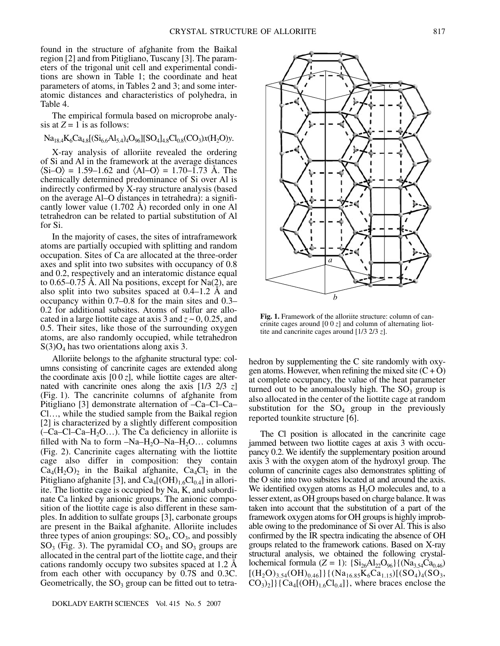found in the structure of afghanite from the Baikal region [2] and from Pitigliano, Tuscany [3]. The parameters of the trigonal unit cell and experimental conditions are shown in Table 1; the coordinate and heat parameters of atoms, in Tables 2 and 3; and some interatomic distances and characteristics of polyhedra, in Table 4.

The empirical formula based on microprobe analysis at  $Z = 1$  is as follows:

### $Na_{18,4}K_6Ca_{4,8}[(Si_{6,6}Al_{5,4})_4O_{96}][SO_4]_{4,8}Cl_{0,8}(CO_3)x(H_2O)y.$

X-ray analysis of alloriite revealed the ordering of Si and Al in the framework at the average distances  $\langle Si-O \rangle = 1.59-1.62$  and  $\langle Al-O \rangle = 1.70-1.73$  Å. The chemically determined predominance of Si over Al is indirectly confirmed by X-ray structure analysis (based on the average Al–O distances in tetrahedra): a significantly lower value (1.702 Å) recorded only in one Al tetrahedron can be related to partial substitution of Al for Si.

In the majority of cases, the sites of intraframework atoms are partially occupied with splitting and random occupation. Sites of Ca are allocated at the three-order axes and split into two subsites with occupancy of 0.8 and 0.2, respectively and an interatomic distance equal to 0.65–0.75 Å. All Na positions, except for Na(2), are also split into two subsites spaced at 0.4–1.2 Å and occupancy within 0.7–0.8 for the main sites and 0.3– 0.2 for additional subsites. Atoms of sulfur are allocated in a large liottite cage at axis 3 and *z* ~ 0, 0.25, and 0.5. Their sites, like those of the surrounding oxygen atoms, are also randomly occupied, while tetrahedron  $S(3)O_4$  has two orientations along axis 3.

Alloriite belongs to the afghanite structural type: columns consisting of cancrinite cages are extended along the coordinate axis  $[0 \ 0 \ z]$ , while liottite cages are alternated with cancrinite ones along the axis [1/3 2/3 *z*] (Fig. 1). The cancrinite columns of afghanite from Pitigliano [3] demonstrate alternation of –Ca–Cl–Ca– Cl…, while the studied sample from the Baikal region [2] is characterized by a slightly different composition  $(-Ca-C1-Ca-H<sub>2</sub>O...)$ . The Ca deficiency in allorite is filled with Na to form  $-Na-H_2O-Na-H_2O...$  columns (Fig. 2). Cancrinite cages alternating with the liottite cage also differ in composition: they contain  $Ca_4(H_2O)_2$  in the Baikal afghanite,  $Ca_4Cl_2$  in the Pitigliano afghanite [3], and  $Ca_4[(OH)_{1.6}Cl_{0.4}]$  in alloriite. The liottite cage is occupied by Na, K, and subordinate Ca linked by anionic groups. The anionic composition of the liottite cage is also different in these samples. In addition to sulfate groups [3], carbonate groups are present in the Baikal afghanite. Alloriite includes three types of anion groupings:  $SO_4$ ,  $CO_3$ , and possibly  $SO_3$  (Fig. 3). The pyramidal  $CO_3$  and  $SO_3$  groups are allocated in the central part of the liottite cage, and their cations randomly occupy two subsites spaced at 1.2 Å from each other with occupancy by 0.7S and 0.3C. Geometrically, the  $SO_3$  group can be fitted out to tetra-



Fig. 1. Framework of the alloriite structure: column of cancrinite cages around  $[0 \ 0 \ z]$  and column of alternating liottite and cancrinite cages around [1/3 2/3 *z*].

hedron by supplementing the C site randomly with oxygen atoms. However, when refining the mixed site  $(C + O)$ at complete occupancy, the value of the heat parameter turned out to be anomalously high. The  $SO<sub>3</sub>$  group is also allocated in the center of the liottite cage at random substitution for the  $SO_4$  group in the previously reported tounkite structure [6].

The Cl position is allocated in the cancrinite cage jammed between two liottite cages at axis 3 with occupancy 0.2. We identify the supplementary position around axis 3 with the oxygen atom of the hydroxyl group. The column of cancrinite cages also demonstrates splitting of the O site into two subsites located at and around the axis. We identified oxygen atoms as  $H_2O$  molecules and, to a lesser extent, as OH groups based on charge balance. It was taken into account that the substitution of a part of the framework oxygen atoms for OH groups is highly improbable owing to the predominance of Si over Al. This is also confirmed by the IR spectra indicating the absence of OH groups related to the framework cations. Based on X-ray structural analysis, we obtained the following crystallochemical formula (*Z* = 1): {Si<sub>26</sub>Al<sub>22</sub>O<sub>96</sub>}{(Na<sub>3.54</sub>Ca<sub>0.46</sub>)  $[(H<sub>2</sub>O)<sub>3.54</sub>(OH)<sub>0.46</sub>]\{(Na<sub>16.85</sub>K<sub>6</sub>Ca<sub>1.15</sub>)[(SO<sub>4</sub>)<sub>4</sub>(SO<sub>3</sub>,$  $CO<sub>3</sub>$ <sub>2</sub>]}{ $Ca<sub>4</sub>[(OH)<sub>1.6</sub>Cl<sub>0.4</sub>]$ }, where braces enclose the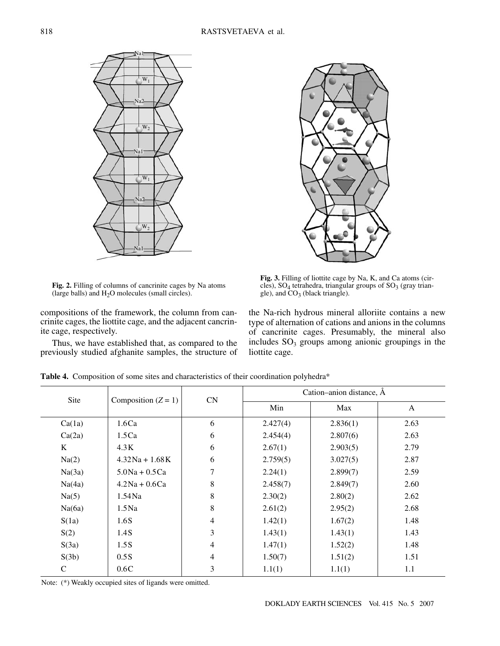

**Fig. 2.** Filling of columns of cancrinite cages by Na atoms (large balls) and  $H_2O$  molecules (small circles).

compositions of the framework, the column from cancrinite cages, the liottite cage, and the adjacent cancrinite cage, respectively.

Thus, we have established that, as compared to the previously studied afghanite samples, the structure of



**Fig. 3.** Filling of liottite cage by Na, K, and Ca atoms (circles),  $SO_4$  tetrahedra, triangular groups of  $SO_3$  (gray triangle), and  $CO<sub>3</sub>$  (black triangle).

the Na-rich hydrous mineral alloriite contains a new type of alternation of cations and anions in the columns of cancrinite cages. Presumably, the mineral also includes  $SO<sub>3</sub>$  groups among anionic groupings in the liottite cage.

| Site         | Composition $(Z = 1)$ | CN             | Cation-anion distance, A |          |      |
|--------------|-----------------------|----------------|--------------------------|----------|------|
|              |                       |                | Min                      | Max      | A    |
| Ca(1a)       | 1.6Ca                 | 6              | 2.427(4)                 | 2.836(1) | 2.63 |
| Ca(2a)       | 1.5Ca                 | 6              | 2.454(4)                 | 2.807(6) | 2.63 |
| K            | 4.3K                  | 6              | 2.67(1)                  | 2.903(5) | 2.79 |
| Na(2)        | $4.32$ Na + 1.68K     | 6              | 2.759(5)                 | 3.027(5) | 2.87 |
| Na(3a)       | $5.0$ Na + $0.5$ Ca   | 7              | 2.24(1)                  | 2.899(7) | 2.59 |
| Na(4a)       | $4.2$ Na + 0.6Ca      | 8              | 2.458(7)                 | 2.849(7) | 2.60 |
| Na(5)        | $1.54$ Na             | 8              | 2.30(2)                  | 2.80(2)  | 2.62 |
| Na(6a)       | $1.5$ Na              | 8              | 2.61(2)                  | 2.95(2)  | 2.68 |
| S(1a)        | 1.6S                  | $\overline{4}$ | 1.42(1)                  | 1.67(2)  | 1.48 |
| S(2)         | 1.4S                  | 3              | 1.43(1)                  | 1.43(1)  | 1.43 |
| S(3a)        | 1.5S                  | $\overline{4}$ | 1.47(1)                  | 1.52(2)  | 1.48 |
| S(3b)        | 0.5S                  | $\overline{4}$ | 1.50(7)                  | 1.51(2)  | 1.51 |
| $\mathsf{C}$ | 0.6C                  | 3              | 1.1(1)                   | 1.1(1)   | 1.1  |

**Table 4.** Composition of some sites and characteristics of their coordination polyhedra\*

Note: (\*) Weakly occupied sites of ligands were omitted.